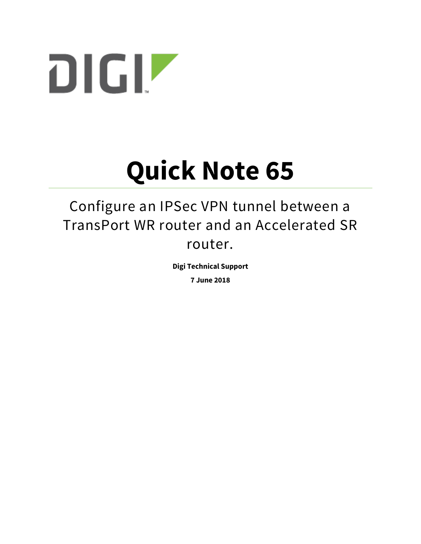

# **Quick Note 65**

## Configure an IPSec VPN tunnel between a TransPort WR router and an Accelerated SR router.

**Digi Technical Support**

**7 June 2018**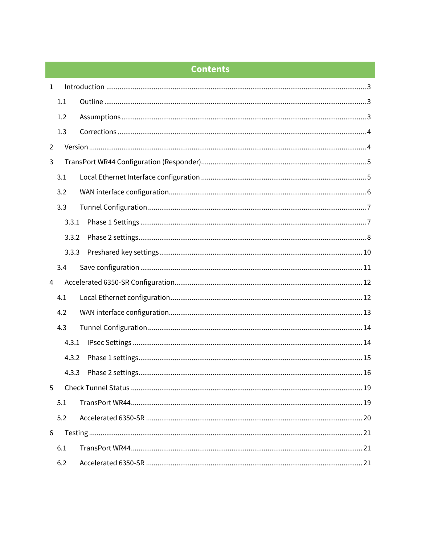## **Contents**

| $\mathbf{1}$   |       |                            |  |  |
|----------------|-------|----------------------------|--|--|
|                | 1.1   |                            |  |  |
|                | 1.2   |                            |  |  |
|                | 1.3   |                            |  |  |
| 2              |       |                            |  |  |
| 3              |       |                            |  |  |
|                | 3.1   |                            |  |  |
|                | 3.2   |                            |  |  |
|                | 3.3   |                            |  |  |
|                | 3.3.1 |                            |  |  |
|                | 3.3.2 |                            |  |  |
|                | 3.3.3 |                            |  |  |
|                | 3.4   |                            |  |  |
| $\overline{4}$ |       |                            |  |  |
|                | 4.1   |                            |  |  |
|                | 4.2   |                            |  |  |
|                | 4.3   |                            |  |  |
|                | 4.3.1 |                            |  |  |
|                | 4.3.2 |                            |  |  |
|                | 4.3.3 |                            |  |  |
| 5.             |       | Check Tunnel Status.<br>19 |  |  |
|                | 5.1   |                            |  |  |
|                | 5.2   |                            |  |  |
| 6              |       |                            |  |  |
|                | 6.1   |                            |  |  |
|                | 6.2   |                            |  |  |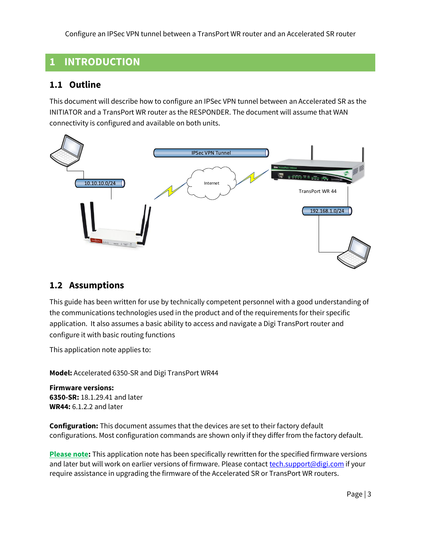## <span id="page-2-0"></span>**1 INTRODUCTION**

## <span id="page-2-1"></span>**1.1 Outline**

This document will describe how to configure an IPSec VPN tunnel between an Accelerated SR as the INITIATOR and a TransPort WR router as the RESPONDER. The document will assume that WAN connectivity is configured and available on both units.



## <span id="page-2-2"></span>**1.2 Assumptions**

This guide has been written for use by technically competent personnel with a good understanding of the communications technologies used in the product and of the requirements for their specific application. It also assumes a basic ability to access and navigate a Digi TransPort router and configure it with basic routing functions

This application note applies to:

**Model:** Accelerated 6350-SR and Digi TransPort WR44

**Firmware versions: 6350-SR:** 18.1.29.41 and later **WR44:** 6.1.2.2 and later

**Configuration:** This document assumes that the devices are set to their factory default configurations. Most configuration commands are shown only if they differ from the factory default.

**Please note:** This application note has been specifically rewritten for the specified firmware versions and later but will work on earlier versions of firmware. Please contact [tech.support@digi.com](mailto:tech.support@digi.com) if your require assistance in upgrading the firmware of the Accelerated SR or TransPort WR routers.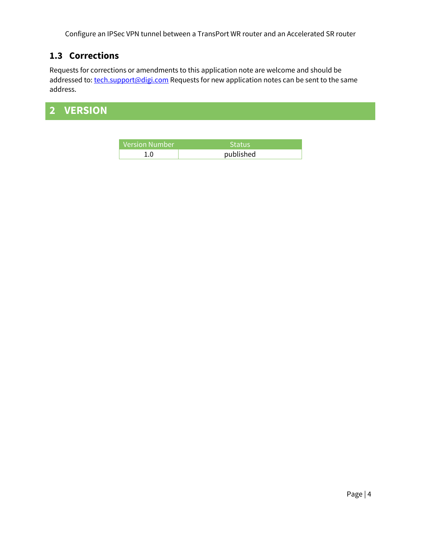## <span id="page-3-0"></span>**1.3 Corrections**

Requests for corrections or amendments to this application note are welcome and should be addressed to: [tech.support@digi.com](mailto:tech.support@digi.com) Requests for new application notes can be sent to the same address.

## <span id="page-3-1"></span>**2 VERSION**

| Version Number' | 'Status.  |
|-----------------|-----------|
|                 | published |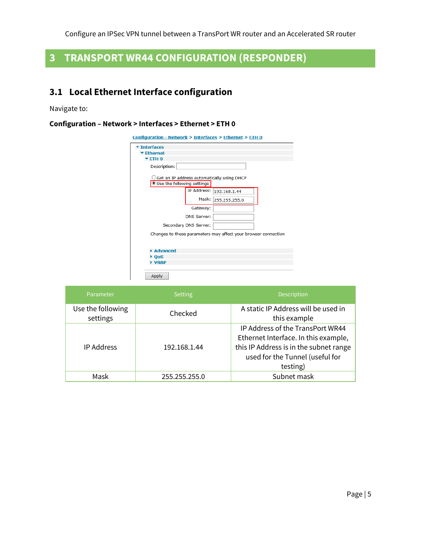## <span id="page-4-0"></span>**3 TRANSPORT WR44 CONFIGURATION (RESPONDER)**

## <span id="page-4-1"></span>**3.1 Local Ethernet Interface configuration**

Navigate to:

#### **Configuration – Network > Interfaces > Ethernet > ETH 0**

| Configuration - Network > Interfaces > Ethernet > ETH 0        |             |                                                      |  |  |
|----------------------------------------------------------------|-------------|------------------------------------------------------|--|--|
| <b>Interfaces</b>                                              |             |                                                      |  |  |
| $\blacktriangleright$ Ethernet                                 |             |                                                      |  |  |
| $TETH$ <sub>0</sub>                                            |             |                                                      |  |  |
| Description:                                                   |             |                                                      |  |  |
| Use the following settings                                     |             | $\supset$ Get an IP address automatically using DHCP |  |  |
|                                                                |             | IP Address: 192.168.1.44                             |  |  |
|                                                                | Mask:       | 255.255.255.0                                        |  |  |
|                                                                | Gateway:    |                                                      |  |  |
|                                                                | DNS Server: |                                                      |  |  |
| Secondary DNS Server:                                          |             |                                                      |  |  |
| Changes to these parameters may affect your browser connection |             |                                                      |  |  |
| Advanced                                                       |             |                                                      |  |  |
| $b$ OoS                                                        |             |                                                      |  |  |
| VRRP                                                           |             |                                                      |  |  |
| Apply                                                          |             |                                                      |  |  |

| Parameter                     | Setting       | <b>Description</b>                                  |
|-------------------------------|---------------|-----------------------------------------------------|
| Use the following<br>settings | Checked       | A static IP Address will be used in<br>this example |
|                               | 192.168.1.44  | IP Address of the TransPort WR44                    |
|                               |               | Ethernet Interface. In this example,                |
| <b>IP Address</b>             |               | this IP Address is in the subnet range              |
|                               |               | used for the Tunnel (useful for                     |
|                               |               | testing)                                            |
| Mask                          | 255.255.255.0 | Subnet mask                                         |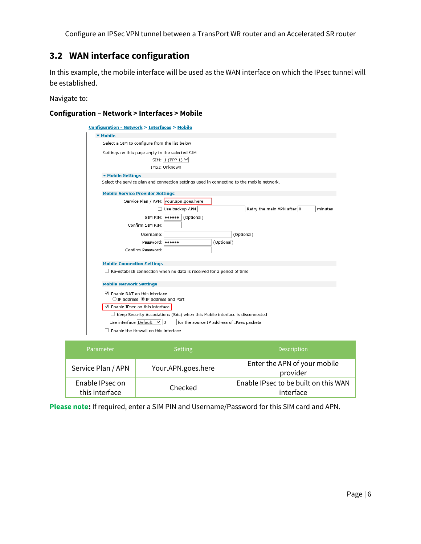## <span id="page-5-0"></span>**3.2 WAN interface configuration**

In this example, the mobile interface will be used as the WAN interface on which the IPsec tunnel will be established.

Navigate to:

#### **Configuration – Network > Interfaces > Mobile**

| Configuration - Network > Interfaces > Mobile                                               |  |  |  |  |
|---------------------------------------------------------------------------------------------|--|--|--|--|
| ▼ Mobile                                                                                    |  |  |  |  |
| Select a SIM to configure from the list below                                               |  |  |  |  |
| Settings on this page apply to the selected SIM<br>SIM: $1$ (PPP 1) $\vee$<br>IMSI: Unknown |  |  |  |  |
| ▼ Mobile Settings                                                                           |  |  |  |  |
| Select the service plan and connection settings used in connecting to the mobile network.   |  |  |  |  |
| <b>Mobile Service Provider Settings</b>                                                     |  |  |  |  |
| Service Plan / APN: your.apn.goes.here                                                      |  |  |  |  |
| Use backup APN<br>Retry the main APN after 0<br>minutes                                     |  |  |  |  |
| SIM PIN: <b>essess</b> (Optional)                                                           |  |  |  |  |
| Confirm SIM PIN:                                                                            |  |  |  |  |
| (Optional)<br>Username:                                                                     |  |  |  |  |
| Password:   ******<br>(Optional)                                                            |  |  |  |  |
| Confirm Password:                                                                           |  |  |  |  |
|                                                                                             |  |  |  |  |
| <b>Mobile Connection Settings</b>                                                           |  |  |  |  |
| $\Box$ Re-establish connection when no data is received for a period of time                |  |  |  |  |
| <b>Mobile Network Settings</b>                                                              |  |  |  |  |
| ☑ Enable NAT on this interface<br>$\bigcirc$ IP address $\bigcirc$ IP address and Port      |  |  |  |  |
| Enable IPsec on this interface                                                              |  |  |  |  |
| $\Box$ Keep Security Associations (SAs) when this Mobile interface is disconnected          |  |  |  |  |
| Use interface Default<br>$ 0\rangle$<br>for the source IP address of IPsec packets          |  |  |  |  |
| Enable the firewall on this interface                                                       |  |  |  |  |

| Parameter                         | <b>Setting</b>     | <b>Description</b>                                |
|-----------------------------------|--------------------|---------------------------------------------------|
| Service Plan / APN                | Your.APN.goes.here | Enter the APN of your mobile<br>provider          |
| Enable IPsec on<br>this interface | Checked            | Enable IPsec to be built on this WAN<br>interface |

**Please note:** If required, enter a SIM PIN and Username/Password for this SIM card and APN.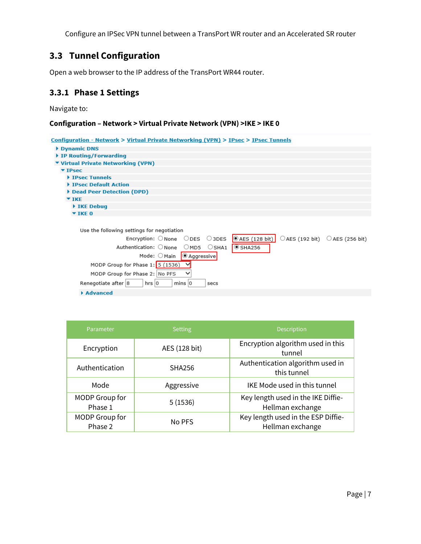## <span id="page-6-0"></span>**3.3 Tunnel Configuration**

Open a web browser to the IP address of the TransPort WR44 router.

## <span id="page-6-1"></span>**3.3.1 Phase 1 Settings**

Navigate to:

#### **Configuration – Network > Virtual Private Network (VPN) >IKE > IKE 0**

| Configuration - Network > Virtual Private Networking (VPN) > IPsec > IPsec Tunnels                                                                                                       |
|------------------------------------------------------------------------------------------------------------------------------------------------------------------------------------------|
| Dynamic DNS                                                                                                                                                                              |
| IP Routing/Forwarding                                                                                                                                                                    |
| ▼ Virtual Private Networking (VPN)                                                                                                                                                       |
| $\Psi$ IPsec                                                                                                                                                                             |
| <b>FIPSec Tunnels</b>                                                                                                                                                                    |
| IPsec Default Action                                                                                                                                                                     |
| Dead Peer Detection (DPD)                                                                                                                                                                |
| $\blacktriangledown$ TKE                                                                                                                                                                 |
| IKE Debug                                                                                                                                                                                |
| $\blacktriangledown$ IKE 0                                                                                                                                                               |
|                                                                                                                                                                                          |
| Use the following settings for negotiation                                                                                                                                               |
| $\circ$ AES (128 bit)<br>$\bigcirc$ AES (192 bit) $\bigcirc$ AES (256 bit)<br>$\mathsf{Encryption:} \ \mathsf{Onone} \ \ \mathsf{O} \mathsf{DES} \ \ \mathsf{O} \mathsf{3} \mathsf{DES}$ |
| Authentication: ONone OMD5 OSHA1<br>$\overline{\odot}$ SHA256                                                                                                                            |
| Mode: O Main   @ Aggressive                                                                                                                                                              |
| MODP Group for Phase 1: 5 (1536)                                                                                                                                                         |
| $\checkmark$<br>MODP Group for Phase 2: No PFS                                                                                                                                           |
| Renegotiate after 8<br>hrs 0<br>$mins$ $ 0$<br>secs                                                                                                                                      |
| Advanced                                                                                                                                                                                 |

| Parameter                 | <b>Setting</b> | <b>Description</b>                                     |
|---------------------------|----------------|--------------------------------------------------------|
| Encryption                | AES (128 bit)  | Encryption algorithm used in this<br>tunnel            |
| Authentication            | <b>SHA256</b>  | Authentication algorithm used in<br>this tunnel        |
| Mode                      | Aggressive     | <b>IKE Mode used in this tunnel</b>                    |
| MODP Group for<br>Phase 1 | 5(1536)        | Key length used in the IKE Diffie-<br>Hellman exchange |
| MODP Group for<br>Phase 2 | No PFS         | Key length used in the ESP Diffie-<br>Hellman exchange |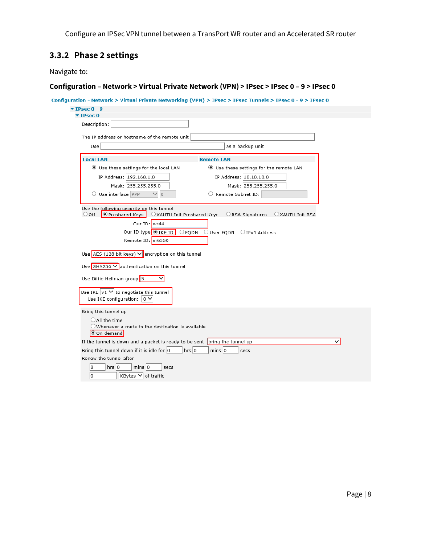## <span id="page-7-0"></span>**3.3.2 Phase 2 settings**

Navigate to:

#### **Configuration – Network > Virtual Private Network (VPN) > IPsec > IPsec 0 – 9 > IPsec 0**

| Description:                         |                                                                                                                                                                       |                                              |
|--------------------------------------|-----------------------------------------------------------------------------------------------------------------------------------------------------------------------|----------------------------------------------|
|                                      | The IP address or hostname of the remote unit                                                                                                                         |                                              |
| Use                                  |                                                                                                                                                                       | as a backup unit                             |
| <b>Local LAN</b>                     |                                                                                                                                                                       | <b>Remote LAN</b>                            |
|                                      | Use these settings for the local LAN                                                                                                                                  | Use these settings for the remote LAN        |
|                                      | IP Address: 192.168.1.0                                                                                                                                               | IP Address: 10.10.10.0                       |
|                                      | Mask: 255.255.255.0                                                                                                                                                   | Mask: 255.255.255.0                          |
| O Use interface PPP                  | $\vee$ 0                                                                                                                                                              | Remote Subnet ID:                            |
| Use Diffie Hellman group 5           | Our ID type O IKE ID<br>$\bigcirc$ FQDN<br>Remote ID: sr6350<br>Use AES (128 bit keys) $\vee$ encryption on this tunnel<br>Use SHA256 V authentication on this tunnel | $\bigcirc$ User FQDN $\bigcirc$ IPv4 Address |
| Use IKE configuration: $ 0 \vee$     | Use IKE $ v1 \vee$ to negotiate this tunnel                                                                                                                           |                                              |
| Bring this tunnel up                 |                                                                                                                                                                       |                                              |
| $\bigcirc$ All the time<br>On demand | $\bigcirc$ Whenever a route to the destination is available                                                                                                           |                                              |
|                                      | If the tunnel is down and a packet is ready to be sent $\ $ bring the tunnel up                                                                                       | $\checkmark$                                 |
|                                      | Bring this tunnel down if it is idle for $ 0\rangle$<br>$hrs$ 0                                                                                                       | $mins$ 0<br>secs                             |
| Renew the tunnel after               |                                                                                                                                                                       |                                              |
| $hrs$ 0<br>8                         | $mins$ 0<br>secs                                                                                                                                                      |                                              |
|                                      |                                                                                                                                                                       |                                              |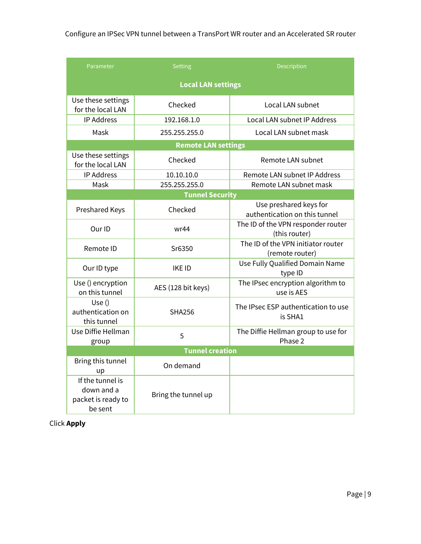| Parameter                                                       | <b>Setting</b>             | Description                                             |  |  |
|-----------------------------------------------------------------|----------------------------|---------------------------------------------------------|--|--|
| <b>Local LAN settings</b>                                       |                            |                                                         |  |  |
| Use these settings<br>for the local LAN                         | Checked                    | Local LAN subnet                                        |  |  |
| <b>IP Address</b>                                               | 192.168.1.0                | Local LAN subnet IP Address                             |  |  |
| Mask                                                            | 255.255.255.0              | Local LAN subnet mask                                   |  |  |
|                                                                 | <b>Remote LAN settings</b> |                                                         |  |  |
| Use these settings<br>for the local LAN                         | Checked                    | Remote LAN subnet                                       |  |  |
| <b>IP Address</b>                                               | 10.10.10.0                 | Remote LAN subnet IP Address                            |  |  |
| Mask                                                            | 255.255.255.0              | Remote LAN subnet mask                                  |  |  |
|                                                                 | <b>Tunnel Security</b>     |                                                         |  |  |
| Preshared Keys                                                  | Checked                    | Use preshared keys for<br>authentication on this tunnel |  |  |
| Our ID                                                          | wr44                       | The ID of the VPN responder router<br>(this router)     |  |  |
| Remote ID                                                       | Sr6350                     | The ID of the VPN initiator router<br>(remote router)   |  |  |
| Our ID type                                                     | <b>IKE ID</b>              | Use Fully Qualified Domain Name<br>type ID              |  |  |
| Use () encryption<br>on this tunnel                             | AES (128 bit keys)         | The IPsec encryption algorithm to<br>use is AES         |  |  |
| Use()<br>authentication on<br>this tunnel                       | <b>SHA256</b>              | The IPsec ESP authentication to use<br>is SHA1          |  |  |
| Use Diffie Hellman<br>group                                     | 5                          | The Diffie Hellman group to use for<br>Phase 2          |  |  |
| <b>Tunnel creation</b>                                          |                            |                                                         |  |  |
| Bring this tunnel<br>up                                         | On demand                  |                                                         |  |  |
| If the tunnel is<br>down and a<br>packet is ready to<br>be sent | Bring the tunnel up        |                                                         |  |  |

Click **Apply**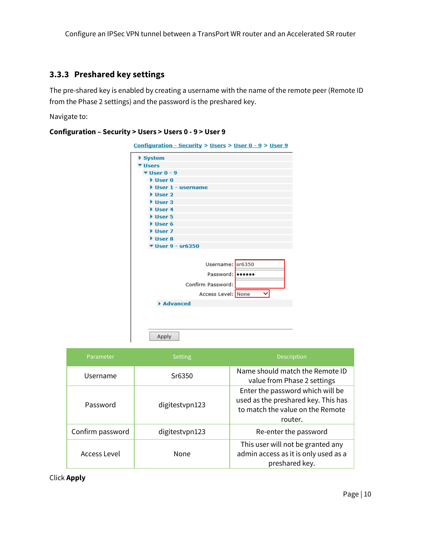#### <span id="page-9-0"></span>**3.3.3 Preshared key settings**

The pre-shared key is enabled by creating a username with the name of the remote peer (Remote ID from the Phase 2 settings) and the password is the preshared key.

Navigate to:

#### **Configuration – Security > Users > Users 0 - 9 > User 9**

| ▶ System                             |                    |
|--------------------------------------|--------------------|
| Users                                |                    |
| $\Psi$ User 0 - 9                    |                    |
| $\blacktriangleright$ User 0         |                    |
|                                      | User 1 - username  |
| $\blacktriangleright$ User 2         |                    |
| $\blacktriangleright$ User 3         |                    |
| $\triangleright$ User 4              |                    |
| $\blacktriangleright$ User 5         |                    |
| $\blacktriangleright$ User 6         |                    |
| User 7                               |                    |
| $\triangleright$ User 8              |                    |
| $\blacktriangledown$ User 9 - sr6350 |                    |
|                                      |                    |
|                                      | Username: sr6350   |
|                                      | Password: leesees  |
|                                      | Confirm Password:  |
|                                      | Access Level: None |
| Advanced                             |                    |
|                                      |                    |
|                                      |                    |
|                                      |                    |

| Parameter        | <b>Setting</b> | <b>Description</b>                                                                                                     |
|------------------|----------------|------------------------------------------------------------------------------------------------------------------------|
| Username         | Sr6350         | Name should match the Remote ID<br>value from Phase 2 settings                                                         |
| Password         | digitestypn123 | Enter the password which will be<br>used as the preshared key. This has<br>to match the value on the Remote<br>router. |
| Confirm password | digitestypn123 | Re-enter the password                                                                                                  |
| Access Level     | None           | This user will not be granted any<br>admin access as it is only used as a<br>preshared key.                            |

Click **Apply**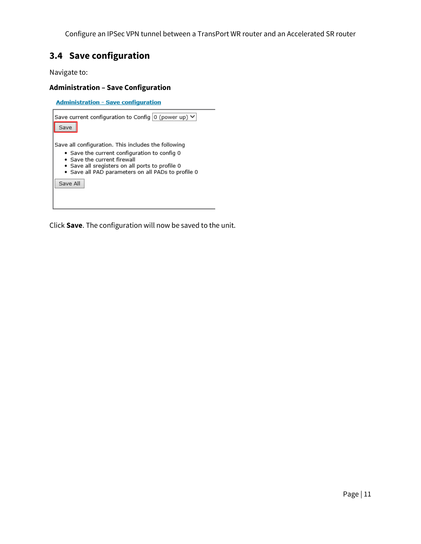## <span id="page-10-0"></span>**3.4 Save configuration**

Navigate to:

#### **Administration – Save Configuration**

**Administration - Save configuration** Save current configuration to Config  $\boxed{0}$  (power up)  $\blacktriangleright$ Save Save all configuration. This includes the following . Save the current configuration to config 0 · Save the current firewall · Save all sregisters on all ports to profile 0 · Save all PAD parameters on all PADs to profile 0 Save All

Click **Save**. The configuration will now be saved to the unit.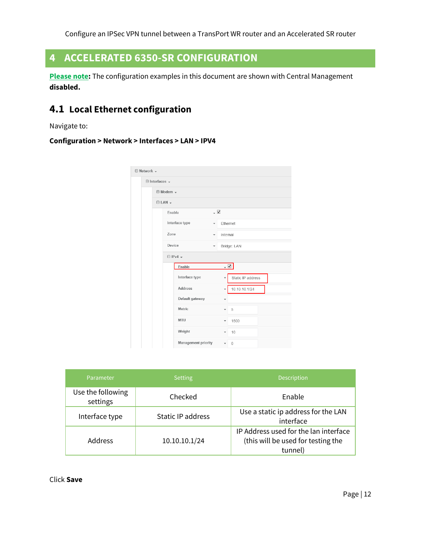## <span id="page-11-0"></span>**4 ACCELERATED 6350-SR CONFIGURATION**

**Please note:** The configuration examples in this document are shown with Central Management **disabled.**

## <span id="page-11-1"></span>**4.1 Local Ethernet configuration**

Navigate to:

#### **Configuration > Network > Interfaces > LAN > IPV4**

| $\boxminus$ Network $\text{-}$ |                         |                           |                     |                          |                          |                   |  |
|--------------------------------|-------------------------|---------------------------|---------------------|--------------------------|--------------------------|-------------------|--|
| $\boxminus$ Interfaces $\sim$  |                         |                           |                     |                          |                          |                   |  |
|                                |                         | ⊞ Modem -                 |                     |                          |                          |                   |  |
|                                | $\boxminus$ LAN $\star$ |                           |                     |                          |                          |                   |  |
|                                |                         | Enable                    |                     | $\overline{\mathsf{v}}$  |                          |                   |  |
|                                |                         |                           | Interface type      | $\overline{\phantom{a}}$ | Ethernet                 |                   |  |
|                                |                         | Zone                      |                     | $\overline{\phantom{a}}$ | Internal                 |                   |  |
|                                |                         | Device                    |                     | $\overline{\phantom{a}}$ |                          | Bridge: LAN       |  |
|                                |                         | $\Box$ IPv4 $\rightarrow$ |                     |                          |                          |                   |  |
|                                |                         |                           | Enable              |                          |                          | - ⊠               |  |
|                                |                         |                           | Interface type      |                          |                          | Static IP address |  |
|                                |                         |                           | <b>Address</b>      |                          | ٠                        | 10.10.10.1/24     |  |
|                                |                         |                           | Default gateway     |                          | $\overline{\phantom{a}}$ |                   |  |
|                                |                         |                           | <b>Metric</b>       |                          | ٠                        | 5                 |  |
|                                |                         |                           | <b>MTU</b>          |                          | ٠                        | 1500              |  |
|                                |                         |                           | Weight              |                          | ٠                        | 10                |  |
|                                |                         |                           | Management priority |                          | $\overline{\phantom{a}}$ | $\mathbf{0}$      |  |

| Parameter                     | <b>Setting</b>    | <b>Description</b>                                                                     |
|-------------------------------|-------------------|----------------------------------------------------------------------------------------|
| Use the following<br>settings | Checked           | Enable                                                                                 |
| Interface type                | Static IP address | Use a static ip address for the LAN<br>interface                                       |
| <b>Address</b>                | 10.10.10.1/24     | IP Address used for the lan interface<br>(this will be used for testing the<br>tunnel) |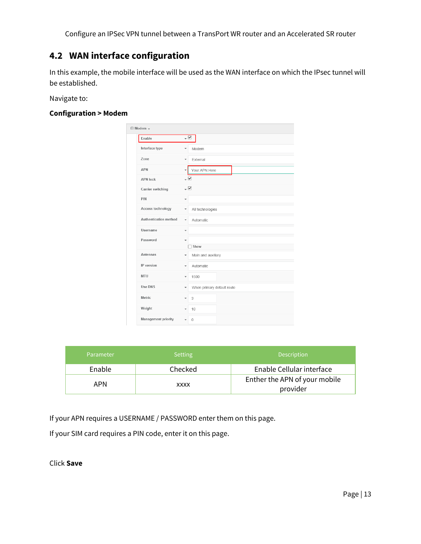## <span id="page-12-0"></span>**4.2 WAN interface configuration**

In this example, the mobile interface will be used as the WAN interface on which the IPsec tunnel will be established.

Navigate to:

#### **Configuration > Modem**

| $\boxminus$ Modem $\star$  |                                                |  |  |  |
|----------------------------|------------------------------------------------|--|--|--|
| Enable                     | $\mathbf{\nabla}$ .                            |  |  |  |
| Interface type             | Modem<br>$\overline{\phantom{a}}$              |  |  |  |
| 7 <sub>one</sub>           | External<br>$\overline{\phantom{a}}$           |  |  |  |
| <b>APN</b>                 | Your.APN.Here<br>$\overline{\phantom{a}}$      |  |  |  |
| <b>APN lock</b>            | $\overline{\mathbf{y}}$                        |  |  |  |
| Carrier switching          | $\overline{\mathsf{v}}$                        |  |  |  |
| PIN                        | ٠                                              |  |  |  |
| Access technology          | All technologies<br>$\overline{\phantom{a}}$   |  |  |  |
| Authentication method      | Automatic<br>$\overline{\phantom{a}}$          |  |  |  |
| Username                   | ٠                                              |  |  |  |
| Password                   | ٠                                              |  |  |  |
|                            | Show                                           |  |  |  |
| <b>Antennas</b>            | Main and auxiliary<br>$\overline{\phantom{a}}$ |  |  |  |
| IP version                 | Automatic<br>$\overline{\phantom{a}}$          |  |  |  |
| <b>MTU</b>                 | 1500<br>٠                                      |  |  |  |
| Use DNS                    | When primary default route<br>٠                |  |  |  |
| Metric                     | 3<br>$\overline{\phantom{a}}$                  |  |  |  |
| Weight                     | 10                                             |  |  |  |
| <b>Management priority</b> | $\mathbf{0}$<br>٠                              |  |  |  |

| Parameter | <b>Setting</b> | <b>Description</b>                        |
|-----------|----------------|-------------------------------------------|
| Enable    | Checked        | Enable Cellular interface                 |
| APN       | XXXX           | Enther the APN of your mobile<br>provider |

If your APN requires a USERNAME / PASSWORD enter them on this page.

If your SIM card requires a PIN code, enter it on this page.

Click **Save**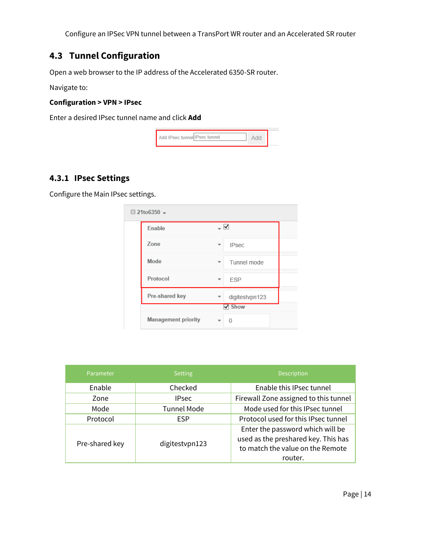## <span id="page-13-0"></span>**4.3 Tunnel Configuration**

Open a web browser to the IP address of the Accelerated 6350-SR router.

Navigate to:

#### **Configuration > VPN > IPsec**

Enter a desired IPsec tunnel name and click **Add**

| <sup>3</sup> sec tunnell lPsec tunnel<br>$\blacksquare$ Add IP: |  |
|-----------------------------------------------------------------|--|
|-----------------------------------------------------------------|--|

### <span id="page-13-1"></span>**4.3.1 IPsec Settings**

Configure the Main IPsec settings.

| $\boxminus$ 21to6350 $\star$ |                   |  |
|------------------------------|-------------------|--|
| Enable                       | ▽                 |  |
| Zone                         | <b>IPsec</b><br>▼ |  |
| Mode                         | Tunnel mode       |  |
| Protocol                     | <b>ESP</b>        |  |
| Pre-shared key               | digitestvpn123    |  |
|                              | V Show            |  |
| <b>Management priority</b>   |                   |  |

| Parameter      | <b>Setting</b>     | <b>Description</b>                                                                                                     |
|----------------|--------------------|------------------------------------------------------------------------------------------------------------------------|
| Enable         | Checked            | Enable this IPsec tunnel                                                                                               |
| Zone           | <b>IPsec</b>       | Firewall Zone assigned to this tunnel                                                                                  |
| Mode           | <b>Tunnel Mode</b> | Mode used for this IPsec tunnel                                                                                        |
| Protocol       | <b>ESP</b>         | Protocol used for this IPsec tunnel                                                                                    |
| Pre-shared key | digitestypn123     | Enter the password which will be<br>used as the preshared key. This has<br>to match the value on the Remote<br>router. |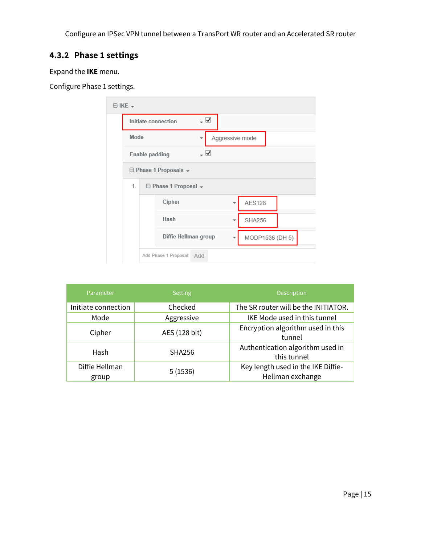## <span id="page-14-0"></span>**4.3.2 Phase 1 settings**

Expand the **IKE** menu.

Configure Phase 1 settings.

| $\boxminus$ IKE $\sim$ |                                    |                                       |                          |                 |                 |  |  |
|------------------------|------------------------------------|---------------------------------------|--------------------------|-----------------|-----------------|--|--|
|                        |                                    | Initiate connection                   | $\overline{\phantom{a}}$ |                 |                 |  |  |
| Mode                   |                                    |                                       |                          | Aggressive mode |                 |  |  |
|                        | Enable padding                     | – ⊻                                   |                          |                 |                 |  |  |
|                        | $\ominus$ Phase 1 Proposals $\ast$ |                                       |                          |                 |                 |  |  |
| 1.                     |                                    | $\Box$ Phase 1 Proposal $\rightarrow$ |                          |                 |                 |  |  |
|                        |                                    | Cipher                                |                          |                 | <b>AES128</b>   |  |  |
|                        |                                    | Hash                                  |                          |                 | <b>SHA256</b>   |  |  |
|                        |                                    | Diffie Hellman group                  |                          |                 | MODP1536 (DH 5) |  |  |
|                        |                                    | Add Phase 1 Proposal: Add             |                          |                 |                 |  |  |

| Parameter               | <b>Setting</b> | <b>Description</b>                                     |
|-------------------------|----------------|--------------------------------------------------------|
| Initiate connection     | Checked        | The SR router will be the INITIATOR.                   |
| Mode                    | Aggressive     | IKE Mode used in this tunnel                           |
| Cipher                  | AES (128 bit)  | Encryption algorithm used in this<br>tunnel            |
| Hash                    | <b>SHA256</b>  | Authentication algorithm used in<br>this tunnel        |
| Diffie Hellman<br>group | 5(1536)        | Key length used in the IKE Diffie-<br>Hellman exchange |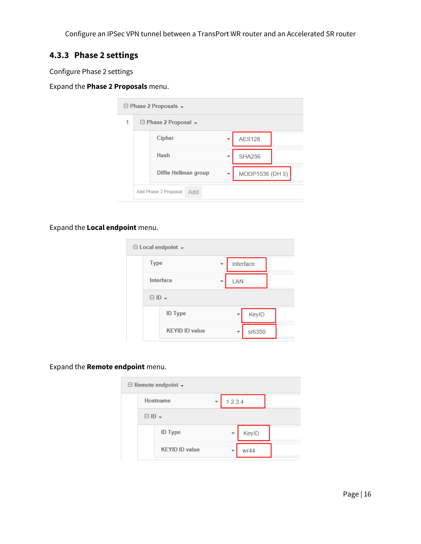## <span id="page-15-0"></span>**4.3.3 Phase 2 settings**

Configure Phase 2 settings

#### Expand the **Phase 2 Proposals** menu.

| $\Box$ Phase 2 Proposals $\rightarrow$ |                                 |                              |  |                 |  |  |  |  |
|----------------------------------------|---------------------------------|------------------------------|--|-----------------|--|--|--|--|
| 1.                                     | $\Box$ Phase 2 Proposal $\star$ |                              |  |                 |  |  |  |  |
|                                        |                                 | Cipher                       |  | <b>AES128</b>   |  |  |  |  |
|                                        |                                 | Hash                         |  | <b>SHA256</b>   |  |  |  |  |
|                                        |                                 | Diffie Hellman group         |  | MODP1536 (DH 5) |  |  |  |  |
|                                        |                                 | Add Phase 2 Proposal:<br>Add |  |                 |  |  |  |  |

#### Expand the **Local endpoint** menu.

| $\boxminus$ Local endpoint $\blacktriangledown$ |                        |                       |  |     |           |  |  |  |
|-------------------------------------------------|------------------------|-----------------------|--|-----|-----------|--|--|--|
|                                                 | Type                   |                       |  |     | Interface |  |  |  |
|                                                 | Interface              |                       |  | LAN |           |  |  |  |
|                                                 | $\boxminus$ ID $\star$ |                       |  |     |           |  |  |  |
|                                                 |                        | <b>ID Type</b>        |  |     | KeyID     |  |  |  |
|                                                 |                        | <b>KEYID ID value</b> |  |     | sr6350    |  |  |  |

#### Expand the **Remote endpoint** menu.

| $\ominus$ Remote endpoint $\ast$ |                        |                       |  |         |       |  |  |  |
|----------------------------------|------------------------|-----------------------|--|---------|-------|--|--|--|
|                                  | Hostname               |                       |  | 1.2.3.4 |       |  |  |  |
|                                  | $\boxminus$ ID $\star$ |                       |  |         |       |  |  |  |
|                                  |                        | <b>ID Type</b>        |  |         | KeyID |  |  |  |
|                                  |                        | <b>KEYID ID value</b> |  |         | wr44  |  |  |  |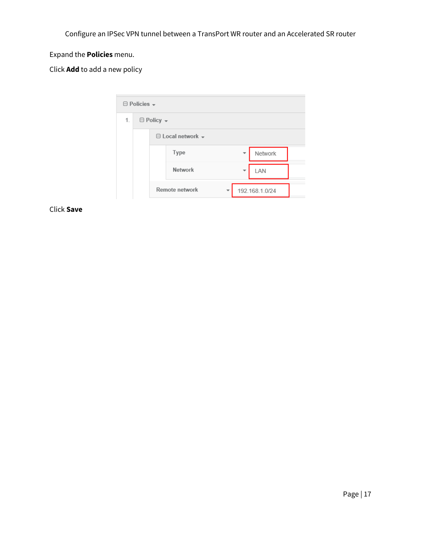## Expand the **Policies** menu.

Click **Add** to add a new policy

| $\Box$ Policies $\sim$ |  |                             |                |  |  |  |  |
|------------------------|--|-----------------------------|----------------|--|--|--|--|
| 1.                     |  | $\boxminus$ Policy $\star$  |                |  |  |  |  |
|                        |  | $\Box$ Local network $\sim$ |                |  |  |  |  |
|                        |  | Type                        | Network        |  |  |  |  |
|                        |  | <b>Network</b>              | LAN<br>٠       |  |  |  |  |
|                        |  | Remote network              | 192.168.1.0/24 |  |  |  |  |

Click **Save**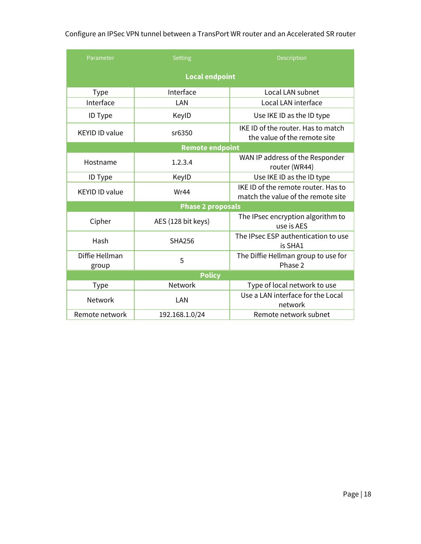| Parameter                | <b>Setting</b>     | <b>Description</b>                                                        |  |  |  |  |  |
|--------------------------|--------------------|---------------------------------------------------------------------------|--|--|--|--|--|
| <b>Local endpoint</b>    |                    |                                                                           |  |  |  |  |  |
| <b>Type</b>              | Interface          | Local LAN subnet                                                          |  |  |  |  |  |
| Interface                | LAN                | Local LAN interface                                                       |  |  |  |  |  |
| ID Type                  | KeylD              | Use IKE ID as the ID type                                                 |  |  |  |  |  |
| <b>KEYID ID value</b>    | sr6350             | IKE ID of the router. Has to match<br>the value of the remote site        |  |  |  |  |  |
| <b>Remote endpoint</b>   |                    |                                                                           |  |  |  |  |  |
| Hostname                 | 1.2.3.4            | WAN IP address of the Responder<br>router (WR44)                          |  |  |  |  |  |
| ID Type                  | KeylD              | Use IKE ID as the ID type                                                 |  |  |  |  |  |
| <b>KEYID ID value</b>    | Wr44               | IKE ID of the remote router. Has to<br>match the value of the remote site |  |  |  |  |  |
| <b>Phase 2 proposals</b> |                    |                                                                           |  |  |  |  |  |
| Cipher                   | AES (128 bit keys) | The IPsec encryption algorithm to<br>use is AES                           |  |  |  |  |  |
| Hash                     | <b>SHA256</b>      | The IPsec ESP authentication to use<br>is SHA1                            |  |  |  |  |  |
| Diffie Hellman<br>group  | 5                  | The Diffie Hellman group to use for<br>Phase 2                            |  |  |  |  |  |
| <b>Policy</b>            |                    |                                                                           |  |  |  |  |  |
| <b>Type</b>              | Network            | Type of local network to use                                              |  |  |  |  |  |
| Network                  | LAN                | Use a LAN interface for the Local<br>network                              |  |  |  |  |  |
| Remote network           | 192.168.1.0/24     | Remote network subnet                                                     |  |  |  |  |  |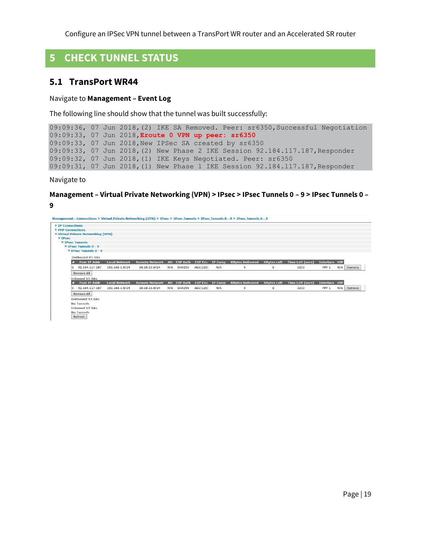## <span id="page-18-0"></span>**5 CHECK TUNNEL STATUS**

#### <span id="page-18-1"></span>**5.1 TransPort WR44**

#### Navigate to **Management – Event Log**

The following line should show that the tunnel was built successfully:

```
09:09:36, 07 Jun 2018,(2) IKE SA Removed. Peer: sr6350,Successful Negotiation
09:09:33, 07 Jun 2018,Eroute 0 VPN up peer: sr6350
09:09:33, 07 Jun 2018,New IPSec SA created by sr6350
09:09:33, 07 Jun 2018, (2) New Phase 2 IKE Session 92.184.117.187, Responder
09:09:32, 07 Jun 2018,(1) IKE Keys Negotiated. Peer: sr6350
09:09:31, 07 Jun 2018,(1) New Phase 1 IKE Session 92.184.117.187,Responder
```
Navigate to

#### **Management – Virtual Private Networking (VPN) > IPsec > IPsec Tunnels 0 – 9 > IPsec Tunnels 0 – 9**

Management - Connections > Virtual Private Networking (VPN) > IPsec > IPsec Tunnels > IPsec Tunnels 0 - 9 > IPsec Tunnels 0 - 9 IP Connections **PPP Connection** PPP Connections<br>Virtual Private Networking (VPN)<br>▼ IPsec ▼ IPsec Tunnels ▼ IPsec Tunnels 0 - 9<br>▼ IPsec Tunnels 0 - 9 Outhound V1 SAs # Peer IP Addr Local Network Remote Network AH ESP Auth ESP Enc IP Comp KBytes Delivered KBytes Left Time Left (secs) Interface VIP 0 92.184.117.187 192.168.1.0/24 10.10.10.0/24 N/A SHA256 AES(128) N/A PPP 1 N/A Remove  $\mathbf{Q}$  $\mathbf 0$ 3233 Remove All Inbound V1 S/ www.markey.com<br># Peer IP Addr Local Network Remote Network AH ESP Auth ESP Enc IP Comp KBytes Delivered KBytes Left Time Left (secs) Interface VIP  $0 \quad 92.184.117.187 \quad 192.168.1.0/24 \quad 10.10.10.0/24 \quad N/A \quad \text{SHA256} \quad \text{AES}(128) \quad N/A$ PPP 1 N/A Remove  $\overline{9}$  $\mathbf 0$ 3233 Remove All Outbound V2 SAs No Tunnels **Inbound V2 SAs** No Tunnels Refresh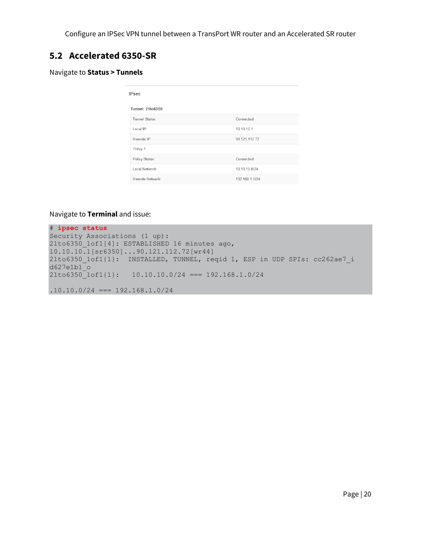## <span id="page-19-0"></span>**5.2 Accelerated 6350-SR**

#### Navigate to **Status > Tunnels**

| <b>IPsec</b>     |                |  |  |  |  |  |
|------------------|----------------|--|--|--|--|--|
| Tunnel: 21to6350 |                |  |  |  |  |  |
| Tunnel Status:   | Connected      |  |  |  |  |  |
| Local IP:        | 10.10.10.1     |  |  |  |  |  |
| Remote IP:       | 90.121.112.72  |  |  |  |  |  |
| Policy 1         |                |  |  |  |  |  |
| Policy Status:   | Connected      |  |  |  |  |  |
| Local Network:   | 10.10.10.0/24  |  |  |  |  |  |
| Remote Network:  | 192.168.1.0/24 |  |  |  |  |  |

#### Navigate to **Terminal** and issue:

# **ipsec status**  Security Associations (1 up): 21to6350 1of1[4]: ESTABLISHED 16 minutes ago, 10.10.10.1[sr6350]...90.121.112.72[wr44] 21to6350\_1of1{1}: INSTALLED, TUNNEL, reqid 1, ESP in UDP SPIs: cc262ae7\_i d627e1b1\_o 21to6350\_1of1{1}: 10.10.10.0/24 === 192.168.1.0/24  $.10.10.0/24$  === 192.168.1.0/24